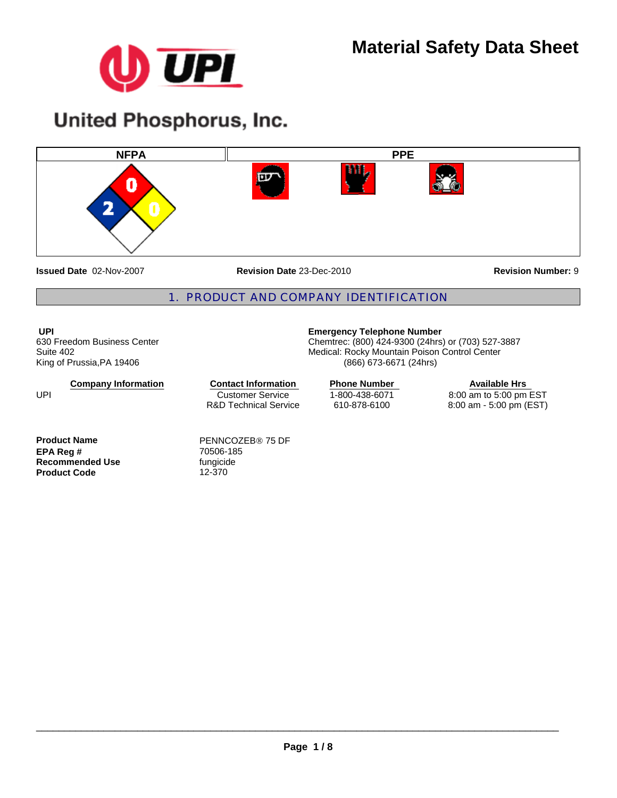

# **United Phosphorus, Inc.**



**Issued Date** 02-Nov-2007

**Revision Date** 23-Dec-2010

**Revision Number:** 9

### 1. PRODUCT AND COMPANY IDENTIFICATION

**UPI**  630 Freedom Business Center Suite 402 King of Prussia,PA 19406

**Company Information**

Customer Service R&D Technical Service **Contact Information** Phone Number

**Product Name** PENNCOZEB® 75 DF **EPA Reg #** 70506-185 **Recommended Use** fungicide fungicide fungities<br> **Product Code** 12-370 **Product Code** 

UPI

**Emergency Telephone Number**

Chemtrec: (800) 424-9300 (24hrs) or (703) 527-3887 Medical: Rocky Mountain Poison Control Center (866) 673-6671 (24hrs)

> 1-800-438-6071 610-878-6100

**Available Hrs**  8:00 am to 5:00 pm EST 8:00 am - 5:00 pm (EST)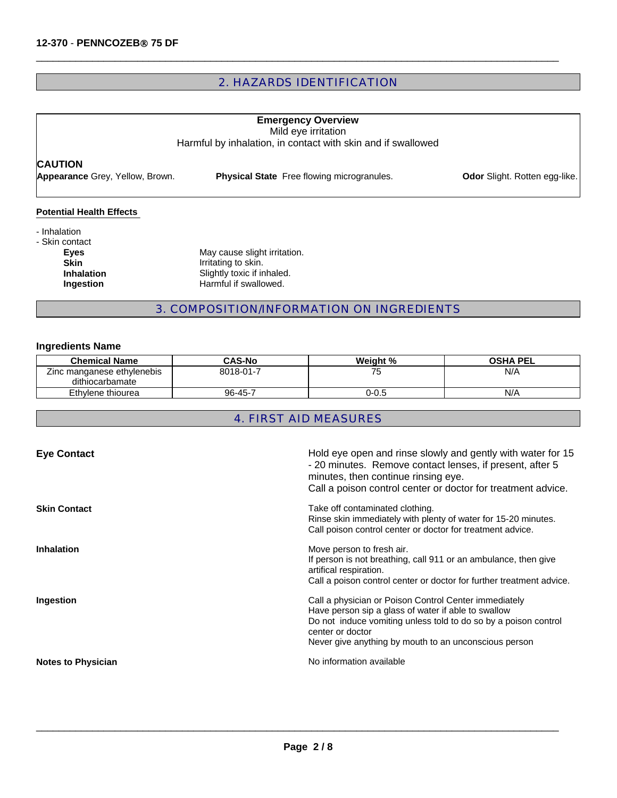### 2. HAZARDS IDENTIFICATION

 $\Box$ 

## **CAUTION Emergency Overview** Mild eye irritation Harmful by inhalation, in contact with skin and if swallowed **Appearance** Grey, Yellow, Brown. **Physical State** Free flowing microgranules. **Odor** Slight. Rotten egg-like.

#### **Potential Health Effects**

- Inhalation - Skin contact **Eyes** May cause slight irritation.<br> **Skin Skin Example 1** Irritating to skin. **Skin**<br> **Inhalation**<br>
Slightly toxic if ir **Inhalation** Slightly toxic if inhaled.<br> **Ingestion** Harmful if swallowed.

**Harmful if swallowed.** 

#### 3. COMPOSITION/INFORMATION ON INGREDIENTS

#### **Ingredients Name**

| <b>Chemical Name</b>       | <b>CAS-No</b> | Weight % | <b>OSHA PEL</b> |
|----------------------------|---------------|----------|-----------------|
| Zinc manganese ethylenebis | 8018-01-7     | 75       | N/A             |
| dithiocarbamate            |               |          |                 |
| Ethylene thiourea          | 96-45-7       | 0-0.5    | N/A             |

### 4. FIRST AID MEASURES

| <b>Eye Contact</b>        | Hold eye open and rinse slowly and gently with water for 15<br>- 20 minutes. Remove contact lenses, if present, after 5<br>minutes, then continue rinsing eye.<br>Call a poison control center or doctor for treatment advice.                               |
|---------------------------|--------------------------------------------------------------------------------------------------------------------------------------------------------------------------------------------------------------------------------------------------------------|
| <b>Skin Contact</b>       | Take off contaminated clothing.<br>Rinse skin immediately with plenty of water for 15-20 minutes.<br>Call poison control center or doctor for treatment advice.                                                                                              |
| <b>Inhalation</b>         | Move person to fresh air.<br>If person is not breathing, call 911 or an ambulance, then give<br>artifical respiration.<br>Call a poison control center or doctor for further treatment advice.                                                               |
| Ingestion                 | Call a physician or Poison Control Center immediately<br>Have person sip a glass of water if able to swallow<br>Do not induce vomiting unless told to do so by a poison control<br>center or doctor<br>Never give anything by mouth to an unconscious person |
| <b>Notes to Physician</b> | No information available                                                                                                                                                                                                                                     |

 $\_$  ,  $\_$  ,  $\_$  ,  $\_$  ,  $\_$  ,  $\_$  ,  $\_$  ,  $\_$  ,  $\_$  ,  $\_$  ,  $\_$  ,  $\_$  ,  $\_$  ,  $\_$  ,  $\_$  ,  $\_$  ,  $\_$  ,  $\_$  ,  $\_$  ,  $\_$  ,  $\_$  ,  $\_$  ,  $\_$  ,  $\_$  ,  $\_$  ,  $\_$  ,  $\_$  ,  $\_$  ,  $\_$  ,  $\_$  ,  $\_$  ,  $\_$  ,  $\_$  ,  $\_$  ,  $\_$  ,  $\_$  ,  $\_$  ,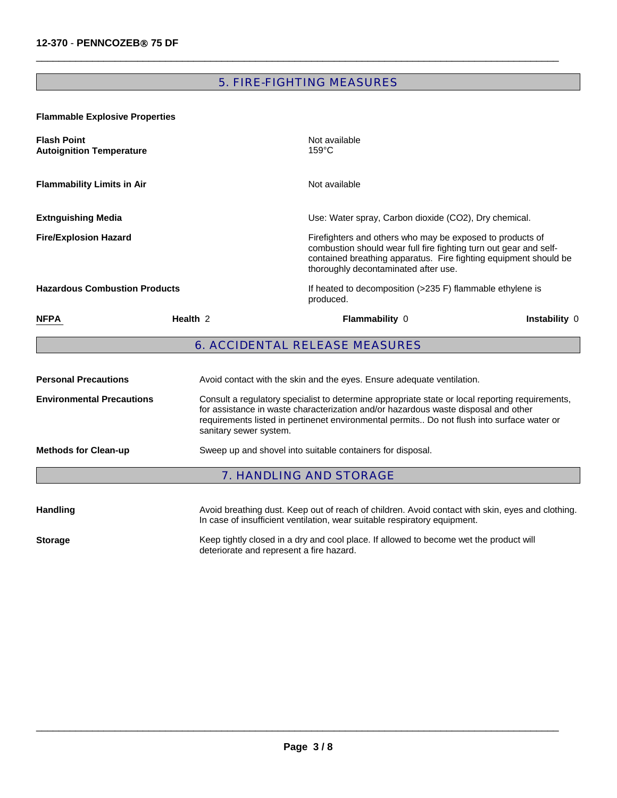### 5. FIRE-FIGHTING MEASURES

 $\Box$ 

**Flammable Explosive Properties** 

| <b>Flash Point</b><br><b>Autoignition Temperature</b> |                     | Not available<br>$159^{\circ}$ C                                                                                                                                                                                                                                                                              |                                                                                                                                       |  |
|-------------------------------------------------------|---------------------|---------------------------------------------------------------------------------------------------------------------------------------------------------------------------------------------------------------------------------------------------------------------------------------------------------------|---------------------------------------------------------------------------------------------------------------------------------------|--|
| <b>Flammability Limits in Air</b>                     |                     | Not available                                                                                                                                                                                                                                                                                                 |                                                                                                                                       |  |
| <b>Extnguishing Media</b>                             |                     | Use: Water spray, Carbon dioxide (CO2), Dry chemical.                                                                                                                                                                                                                                                         |                                                                                                                                       |  |
| <b>Fire/Explosion Hazard</b>                          |                     | Firefighters and others who may be exposed to products of<br>thoroughly decontaminated after use.                                                                                                                                                                                                             | combustion should wear full fire fighting turn out gear and self-<br>contained breathing apparatus. Fire fighting equipment should be |  |
| <b>Hazardous Combustion Products</b>                  |                     | If heated to decomposition (>235 F) flammable ethylene is<br>produced.                                                                                                                                                                                                                                        |                                                                                                                                       |  |
| <b>NFPA</b>                                           | Health <sub>2</sub> | Flammability 0<br>Instability 0                                                                                                                                                                                                                                                                               |                                                                                                                                       |  |
|                                                       |                     | <b>6. ACCIDENTAL RELEASE MEASURES</b>                                                                                                                                                                                                                                                                         |                                                                                                                                       |  |
| <b>Personal Precautions</b>                           |                     | Avoid contact with the skin and the eyes. Ensure adequate ventilation.                                                                                                                                                                                                                                        |                                                                                                                                       |  |
| <b>Environmental Precautions</b>                      |                     | Consult a regulatory specialist to determine appropriate state or local reporting requirements,<br>for assistance in waste characterization and/or hazardous waste disposal and other<br>requirements listed in pertinenet environmental permits Do not flush into surface water or<br>sanitary sewer system. |                                                                                                                                       |  |
| <b>Methods for Clean-up</b>                           |                     | Sweep up and shovel into suitable containers for disposal.                                                                                                                                                                                                                                                    |                                                                                                                                       |  |
|                                                       |                     | <b>7. HANDLING AND STORAGE</b>                                                                                                                                                                                                                                                                                |                                                                                                                                       |  |
|                                                       |                     |                                                                                                                                                                                                                                                                                                               |                                                                                                                                       |  |

Handling **Handling** Avoid breathing dust. Keep out of reach of children. Avoid contact with skin, eyes and clothing. In case of insufficient ventilation, wear suitable respiratory equipment. **Storage** Keep tightly closed in a dry and cool place. If allowed to become wet the product will

deteriorate and represent a fire hazard.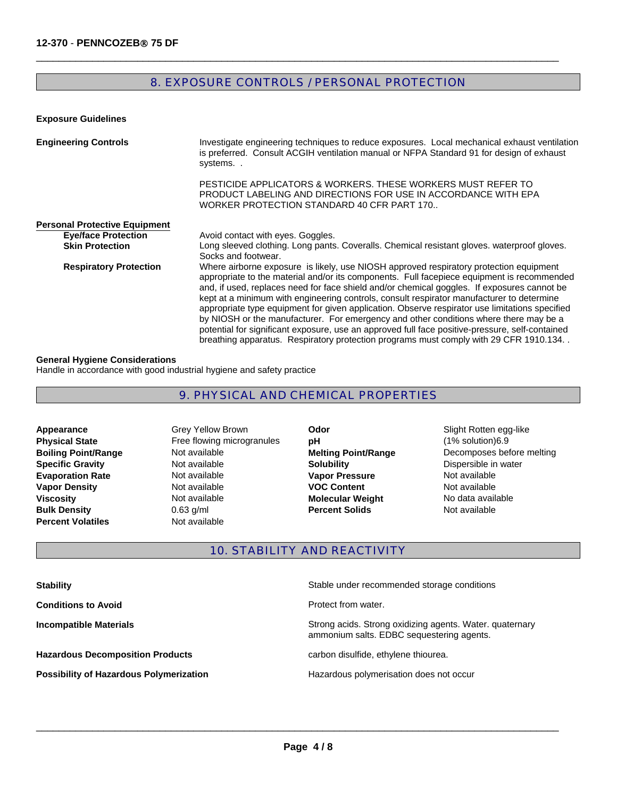### 8. EXPOSURE CONTROLS / PERSONAL PROTECTION

 $\Box$ 

#### **Exposure Guidelines**

| <b>Engineering Controls</b>          | Investigate engineering techniques to reduce exposures. Local mechanical exhaust ventilation<br>is preferred. Consult ACGIH ventilation manual or NFPA Standard 91 for design of exhaust<br>systems                                                                                                                                                                                                                                                                                                                                                                                                                                                                                                                                                                      |
|--------------------------------------|--------------------------------------------------------------------------------------------------------------------------------------------------------------------------------------------------------------------------------------------------------------------------------------------------------------------------------------------------------------------------------------------------------------------------------------------------------------------------------------------------------------------------------------------------------------------------------------------------------------------------------------------------------------------------------------------------------------------------------------------------------------------------|
|                                      | PESTICIDE APPLICATORS & WORKERS. THESE WORKERS MUST REFER TO<br>PRODUCT LABELING AND DIRECTIONS FOR USE IN ACCORDANCE WITH EPA<br>WORKER PROTECTION STANDARD 40 CFR PART 170                                                                                                                                                                                                                                                                                                                                                                                                                                                                                                                                                                                             |
| <b>Personal Protective Equipment</b> |                                                                                                                                                                                                                                                                                                                                                                                                                                                                                                                                                                                                                                                                                                                                                                          |
| <b>Eye/face Protection</b>           | Avoid contact with eyes. Goggles.                                                                                                                                                                                                                                                                                                                                                                                                                                                                                                                                                                                                                                                                                                                                        |
| <b>Skin Protection</b>               | Long sleeved clothing. Long pants. Coveralls. Chemical resistant gloves, waterproof gloves.<br>Socks and footwear.                                                                                                                                                                                                                                                                                                                                                                                                                                                                                                                                                                                                                                                       |
| <b>Respiratory Protection</b>        | Where airborne exposure is likely, use NIOSH approved respiratory protection equipment<br>appropriate to the material and/or its components. Full facepiece equipment is recommended<br>and, if used, replaces need for face shield and/or chemical goggles. If exposures cannot be<br>kept at a minimum with engineering controls, consult respirator manufacturer to determine<br>appropriate type equipment for given application. Observe respirator use limitations specified<br>by NIOSH or the manufacturer. For emergency and other conditions where there may be a<br>potential for significant exposure, use an approved full face positive-pressure, self-contained<br>breathing apparatus. Respiratory protection programs must comply with 29 CFR 1910.134. |

#### **General Hygiene Considerations**

Handle in accordance with good industrial hygiene and safety practice

### 9. PHYSICAL AND CHEMICAL PROPERTIES

- **Bulk Density** 0.63 g/ml **Boiling Point/Range Not available Percent Volatiles Not available Evaporation Rate Not available Appearance Vapor Density Not available**<br> **Viscosity Not available**
- **Specific Gravity Not available <b>Solubility Solubility Dispersible in water Physical State Free flowing microgranules** Grey Yellow Brown
- **Percent Solids Odor Slight Rotten egg-like Vapor Pressure Not available VOC Content Not available pH**  $(1\%$  solution)6.9 **Molecular Weight** 
	- No data available<br>Not available **Melting Point/Range** Decomposes before melting

### 10. STABILITY AND REACTIVITY

| <b>Stability</b>                               | Stable under recommended storage conditions                                                           |
|------------------------------------------------|-------------------------------------------------------------------------------------------------------|
| <b>Conditions to Avoid</b>                     | Protect from water.                                                                                   |
| <b>Incompatible Materials</b>                  | Strong acids. Strong oxidizing agents. Water. quaternary<br>ammonium salts. EDBC sequestering agents. |
| <b>Hazardous Decomposition Products</b>        | carbon disulfide, ethylene thiourea.                                                                  |
| <b>Possibility of Hazardous Polymerization</b> | Hazardous polymerisation does not occur                                                               |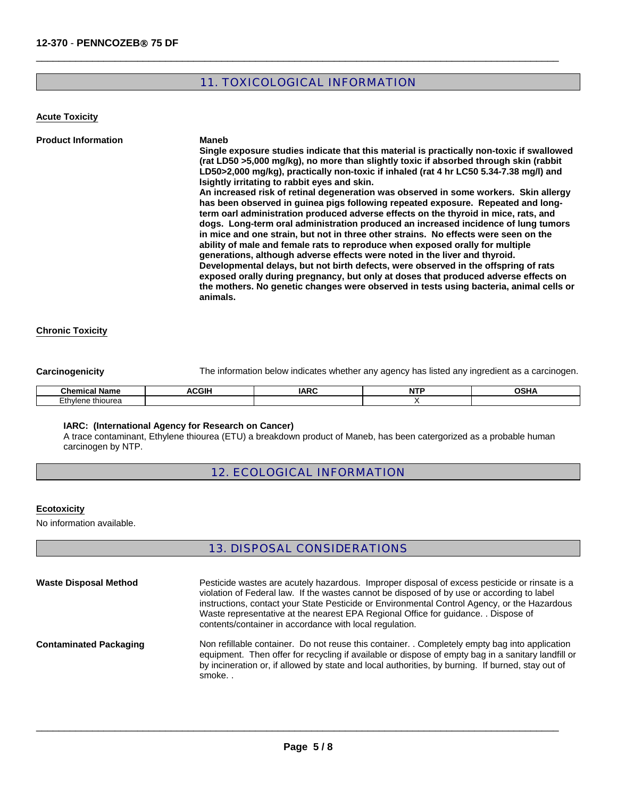### 11. TOXICOLOGICAL INFORMATION

 $\Box$ 

**Acute Toxicity**

| <b>Product Information</b> | <b>Maneb</b>                                                                                                                                                                                                                                                                                                                                         |
|----------------------------|------------------------------------------------------------------------------------------------------------------------------------------------------------------------------------------------------------------------------------------------------------------------------------------------------------------------------------------------------|
|                            | Single exposure studies indicate that this material is practically non-toxic if swallowed                                                                                                                                                                                                                                                            |
|                            | (rat LD50 >5,000 mg/kg), no more than slightly toxic if absorbed through skin (rabbit                                                                                                                                                                                                                                                                |
|                            | LD50>2,000 mg/kg), practically non-toxic if inhaled (rat 4 hr LC50 5.34-7.38 mg/l) and<br>Isightly irritating to rabbit eves and skin.                                                                                                                                                                                                               |
|                            | An increased risk of retinal degeneration was observed in some workers. Skin allergy                                                                                                                                                                                                                                                                 |
|                            | has been observed in quinea pigs following repeated exposure. Repeated and long-<br>term oarl administration produced adverse effects on the thyroid in mice, rats, and<br>dogs. Long-term oral administration produced an increased incidence of lung tumors<br>in mice and one strain, but not in three other strains. No effects were seen on the |
|                            | ability of male and female rats to reproduce when exposed orally for multiple<br>generations, although adverse effects were noted in the liver and thyroid.                                                                                                                                                                                          |
|                            | Developmental delays, but not birth defects, were observed in the offspring of rats<br>exposed orally during pregnancy, but only at doses that produced adverse effects on                                                                                                                                                                           |
|                            | the mothers. No genetic changes were observed in tests using bacteria, animal cells or<br>animals.                                                                                                                                                                                                                                                   |

#### **Chronic Toxicity**

**Carcinogenicity** The information below indicates whether any agency has listed any ingredient as a carcinogen.

| $\overline{\phantom{a}}$<br>---                         | $\sim$<br>ш | $\sim$ $ -$<br>. A C<br>ını | --<br>. .<br>. |  |
|---------------------------------------------------------|-------------|-----------------------------|----------------|--|
| $\overline{\phantom{a}}$<br>.<br>۱۱٬۱۵۳<br>nourea<br>-- |             |                             |                |  |

#### **IARC: (International Agency for Research on Cancer)**

A trace contaminant, Ethylene thiourea (ETU) a breakdown product of Maneb, has been catergorized as a probable human carcinogen by NTP.

#### 12. ECOLOGICAL INFORMATION

#### **Ecotoxicity**

No information available.

#### 13. DISPOSAL CONSIDERATIONS

| <b>Waste Disposal Method</b>  | Pesticide wastes are acutely hazardous. Improper disposal of excess pesticide or rinsate is a<br>violation of Federal law. If the wastes cannot be disposed of by use or according to label<br>instructions, contact your State Pesticide or Environmental Control Agency, or the Hazardous<br>Waste representative at the nearest EPA Regional Office for guidance. . Dispose of<br>contents/container in accordance with local regulation. |
|-------------------------------|----------------------------------------------------------------------------------------------------------------------------------------------------------------------------------------------------------------------------------------------------------------------------------------------------------------------------------------------------------------------------------------------------------------------------------------------|
| <b>Contaminated Packaging</b> | Non refillable container. Do not reuse this container. Completely empty bag into application<br>equipment. Then offer for recycling if available or dispose of empty bag in a sanitary landfill or<br>by incineration or, if allowed by state and local authorities, by burning. If burned, stay out of<br>smoke                                                                                                                             |

 $\_$  ,  $\_$  ,  $\_$  ,  $\_$  ,  $\_$  ,  $\_$  ,  $\_$  ,  $\_$  ,  $\_$  ,  $\_$  ,  $\_$  ,  $\_$  ,  $\_$  ,  $\_$  ,  $\_$  ,  $\_$  ,  $\_$  ,  $\_$  ,  $\_$  ,  $\_$  ,  $\_$  ,  $\_$  ,  $\_$  ,  $\_$  ,  $\_$  ,  $\_$  ,  $\_$  ,  $\_$  ,  $\_$  ,  $\_$  ,  $\_$  ,  $\_$  ,  $\_$  ,  $\_$  ,  $\_$  ,  $\_$  ,  $\_$  ,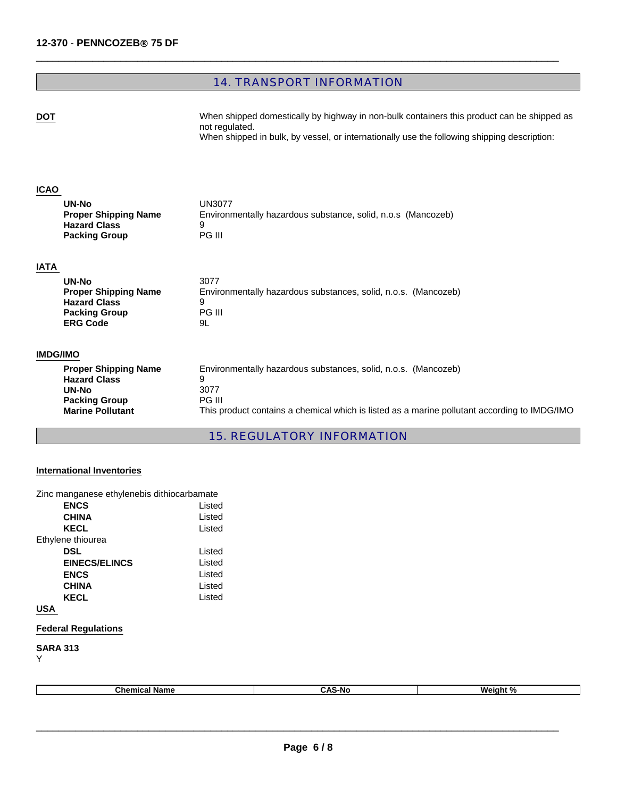### 14. TRANSPORT INFORMATION

 $\Box$ 

**DOT** When shipped domestically by highway in non-bulk containers this product can be shipped as not regulated. When shipped in bulk, by vessel, or internationally use the following shipping description:

#### **ICAO**

| UN-No                       | UN3077                                                       |
|-----------------------------|--------------------------------------------------------------|
| <b>Proper Shipping Name</b> | Environmentally hazardous substance, solid, n.o.s (Mancozeb) |
| <b>Hazard Class</b>         |                                                              |
| <b>Packing Group</b>        | PG III                                                       |

#### **IATA**

| UN-No                       | 3077                                                           |
|-----------------------------|----------------------------------------------------------------|
| <b>Proper Shipping Name</b> | Environmentally hazardous substances, solid, n.o.s. (Mancozeb) |
| <b>Hazard Class</b>         | 9                                                              |
| <b>Packing Group</b>        | PG III                                                         |
| <b>ERG Code</b>             | 9L                                                             |

#### **IMDG/IMO**

| This product contains a chemical which is listed as a marine pollutant according to IMDG/IMO |
|----------------------------------------------------------------------------------------------|
|                                                                                              |

### 15. REGULATORY INFORMATION

#### **International Inventories**

| Zinc manganese ethylenebis dithiocarbamate |  |
|--------------------------------------------|--|
|                                            |  |

| <b>ENCS</b>          | Listed |
|----------------------|--------|
| <b>CHINA</b>         | Listed |
| <b>KECL</b>          | Listed |
| Ethylene thiourea    |        |
| <b>DSL</b>           | Listed |
| <b>EINECS/ELINCS</b> | Listed |
| <b>ENCS</b>          | Listed |
| <b>CHINA</b>         | Listed |
| <b>KECL</b>          | Listed |
| <b>USA</b>           |        |

### **Federal Regulations**

**SARA 313** Y

| .<br>.5-NC<br>.<br>Name<br>nor<br>-- |
|--------------------------------------|
|--------------------------------------|

\_\_\_\_\_\_\_\_\_\_\_\_\_\_\_\_\_\_\_\_\_\_\_\_\_\_\_\_\_\_\_\_\_\_\_\_\_\_\_\_\_\_\_\_\_\_\_\_\_\_\_\_\_\_\_\_\_\_\_\_\_\_\_\_\_\_\_\_\_\_\_\_\_\_\_\_\_\_\_\_\_\_\_\_\_\_\_\_\_\_\_\_\_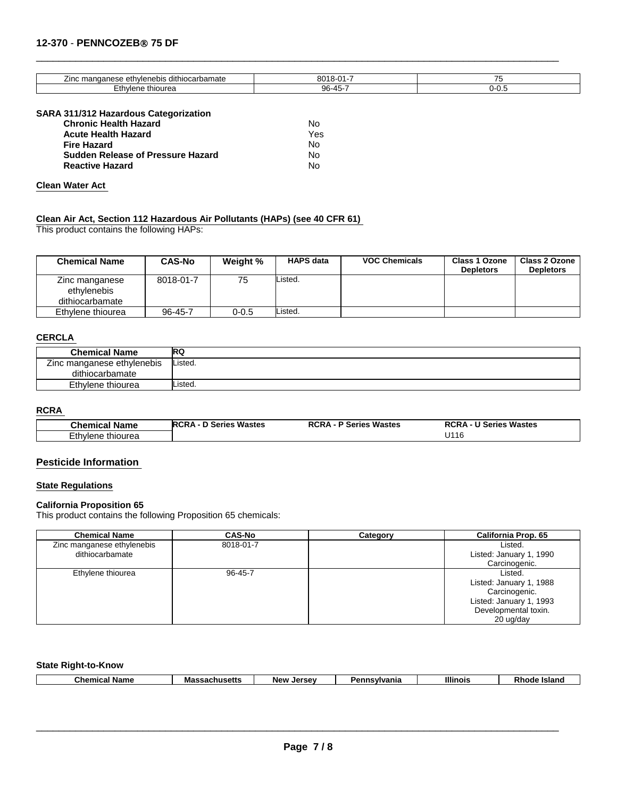#### **12-370** - **PENNCOZEB**® **75 DF**

| -<br>manganese<br>rbamate<br>∠inc<br>ethylenebis<br>dithiocar | $0^{\circ}$<br>ou<br>u           | -- |
|---------------------------------------------------------------|----------------------------------|----|
| $\sim$<br>*hiourea<br>nvlene<br>– ⊔                           | ฉค<br>$\prime\prime\prime$<br>JU |    |

 $\Box$ 

#### **SARA 311/312 Hazardous Categorization**

| <b>Chronic Health Hazard</b>             | N٥  |
|------------------------------------------|-----|
| <b>Acute Health Hazard</b>               | Yes |
| <b>Fire Hazard</b>                       | N٥  |
| <b>Sudden Release of Pressure Hazard</b> | Nο  |
| <b>Reactive Hazard</b>                   | Nο  |

#### **Clean Water Act**

**Clean Air Act, Section 112 Hazardous Air Pollutants (HAPs) (see 40 CFR 61)**  This product contains the following HAPs:

| <b>Chemical Name</b>                             | <b>CAS-No</b> | Weight %  | <b>HAPS data</b> | <b>VOC Chemicals</b> | <b>Class 1 Ozone</b><br><b>Depletors</b> | <b>Class 2 Ozone</b><br><b>Depletors</b> |
|--------------------------------------------------|---------------|-----------|------------------|----------------------|------------------------------------------|------------------------------------------|
| Zinc manganese<br>ethylenebis<br>dithiocarbamate | 8018-01-7     | 75        | Listed.          |                      |                                          |                                          |
| Ethylene thiourea                                | 96-45-7       | $0 - 0.5$ | Listed.          |                      |                                          |                                          |

#### **CERCLA**

| <b>Chemical Name</b>       | w       |
|----------------------------|---------|
| Zinc manganese ethylenebis | Listed. |
| dithiocarbamate            |         |
| Ethylene thiourea          | .isted. |

#### **RCRA**

| <b>Chemical Name</b> | <b>RCRA - D Series Wastes</b> | <b>RCRA - P Series Wastes</b> | <b>RCRA - U Series Wastes</b> |
|----------------------|-------------------------------|-------------------------------|-------------------------------|
| Ethylene thiourea    |                               |                               | U116                          |

#### **Pesticide Information**

#### **State Regulations**

#### **California Proposition 65**

This product contains the following Proposition 65 chemicals:

| <b>Chemical Name</b>       | <b>CAS-No</b> | Category | California Prop. 65     |
|----------------------------|---------------|----------|-------------------------|
| Zinc manganese ethylenebis | 8018-01-7     |          | Listed.                 |
| dithiocarbamate            |               |          | Listed: January 1, 1990 |
|                            |               |          | Carcinogenic.           |
| Ethylene thiourea          | $96 - 45 - 7$ |          | Listed.                 |
|                            |               |          | Listed: January 1, 1988 |
|                            |               |          | Carcinogenic.           |
|                            |               |          | Listed: January 1, 1993 |
|                            |               |          | Developmental toxin.    |
|                            |               |          | 20 ug/day               |

#### **State Right-to-Know**

| <b>Illinois</b><br>⊡hen<br>---<br>vania<br>Jersey<br><b>Anneatte</b><br><b>Island</b><br>Nam<br>Da<br>avlvr<br>New<br>м.<br>.nic<br>----<br>.wa<br>aau.<br>านอษแล |
|-------------------------------------------------------------------------------------------------------------------------------------------------------------------|
|-------------------------------------------------------------------------------------------------------------------------------------------------------------------|